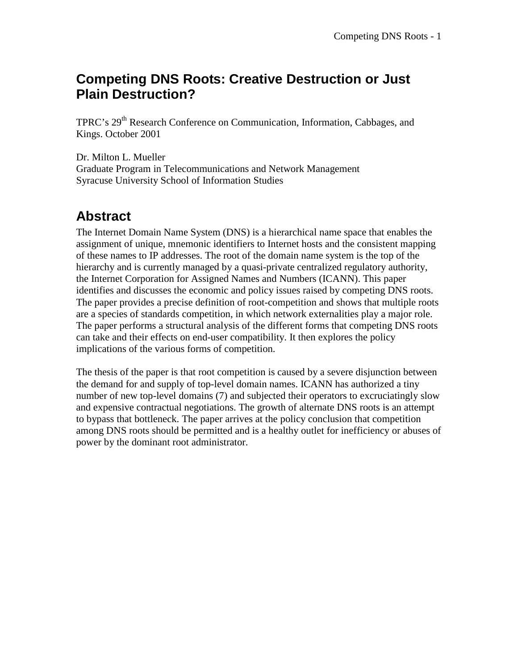## **Competing DNS Roots: Creative Destruction or Just Plain Destruction?**

TPRC's 29<sup>th</sup> Research Conference on Communication, Information, Cabbages, and Kings. October 2001

Dr. Milton L. Mueller Graduate Program in Telecommunications and Network Management Syracuse University School of Information Studies

# **Abstract**

The Internet Domain Name System (DNS) is a hierarchical name space that enables the assignment of unique, mnemonic identifiers to Internet hosts and the consistent mapping of these names to IP addresses. The root of the domain name system is the top of the hierarchy and is currently managed by a quasi-private centralized regulatory authority, the Internet Corporation for Assigned Names and Numbers (ICANN). This paper identifies and discusses the economic and policy issues raised by competing DNS roots. The paper provides a precise definition of root-competition and shows that multiple roots are a species of standards competition, in which network externalities play a major role. The paper performs a structural analysis of the different forms that competing DNS roots can take and their effects on end-user compatibility. It then explores the policy implications of the various forms of competition.

The thesis of the paper is that root competition is caused by a severe disjunction between the demand for and supply of top-level domain names. ICANN has authorized a tiny number of new top-level domains (7) and subjected their operators to excruciatingly slow and expensive contractual negotiations. The growth of alternate DNS roots is an attempt to bypass that bottleneck. The paper arrives at the policy conclusion that competition among DNS roots should be permitted and is a healthy outlet for inefficiency or abuses of power by the dominant root administrator.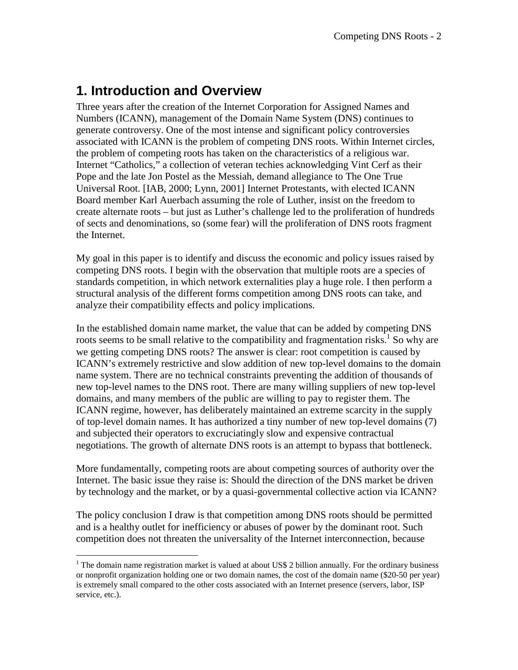## **1. Introduction and Overview**

Three years after the creation of the Internet Corporation for Assigned Names and Numbers (ICANN), management of the Domain Name System (DNS) continues to generate controversy. One of the most intense and significant policy controversies associated with ICANN is the problem of competing DNS roots. Within Internet circles, the problem of competing roots has taken on the characteristics of a religious war. Internet "Catholics," a collection of veteran techies acknowledging Vint Cerf as their Pope and the late Jon Postel as the Messiah, demand allegiance to The One True Universal Root. [IAB, 2000; Lynn, 2001] Internet Protestants, with elected ICANN Board member Karl Auerbach assuming the role of Luther, insist on the freedom to create alternate roots – but just as Luther's challenge led to the proliferation of hundreds of sects and denominations, so (some fear) will the proliferation of DNS roots fragment the Internet.

My goal in this paper is to identify and discuss the economic and policy issues raised by competing DNS roots. I begin with the observation that multiple roots are a species of standards competition, in which network externalities play a huge role. I then perform a structural analysis of the different forms competition among DNS roots can take, and analyze their compatibility effects and policy implications.

In the established domain name market, the value that can be added by competing DNS roots seems to be small relative to the compatibility and fragmentation risks.<sup>1</sup> So why are we getting competing DNS roots? The answer is clear: root competition is caused by ICANN's extremely restrictive and slow addition of new top-level domains to the domain name system. There are no technical constraints preventing the addition of thousands of new top-level names to the DNS root. There are many willing suppliers of new top-level domains, and many members of the public are willing to pay to register them. The ICANN regime, however, has deliberately maintained an extreme scarcity in the supply of top-level domain names. It has authorized a tiny number of new top-level domains (7) and subjected their operators to excruciatingly slow and expensive contractual negotiations. The growth of alternate DNS roots is an attempt to bypass that bottleneck.

More fundamentally, competing roots are about competing sources of authority over the Internet. The basic issue they raise is: Should the direction of the DNS market be driven by technology and the market, or by a quasi-governmental collective action via ICANN?

The policy conclusion I draw is that competition among DNS roots should be permitted and is a healthy outlet for inefficiency or abuses of power by the dominant root. Such competition does not threaten the universality of the Internet interconnection, because

<sup>&</sup>lt;sup>1</sup> The domain name registration market is valued at about US\$ 2 billion annually. For the ordinary business or nonprofit organization holding one or two domain names, the cost of the domain name (\$20-50 per year) is extremely small compared to the other costs associated with an Internet presence (servers, labor, ISP service, etc.).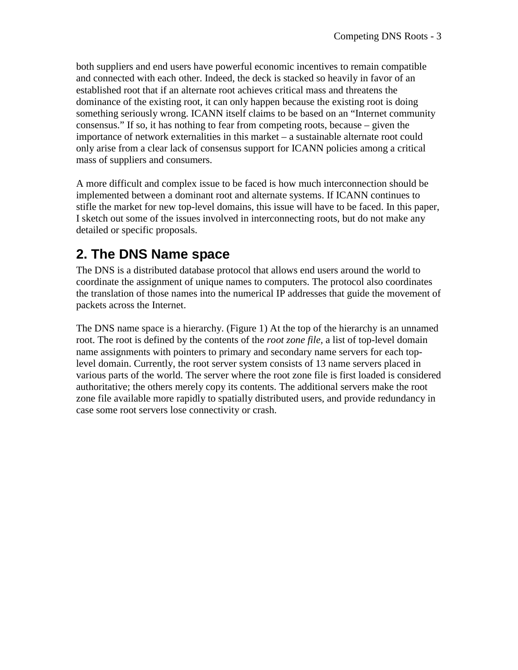both suppliers and end users have powerful economic incentives to remain compatible and connected with each other. Indeed, the deck is stacked so heavily in favor of an established root that if an alternate root achieves critical mass and threatens the dominance of the existing root, it can only happen because the existing root is doing something seriously wrong. ICANN itself claims to be based on an "Internet community consensus." If so, it has nothing to fear from competing roots, because – given the importance of network externalities in this market – a sustainable alternate root could only arise from a clear lack of consensus support for ICANN policies among a critical mass of suppliers and consumers.

A more difficult and complex issue to be faced is how much interconnection should be implemented between a dominant root and alternate systems. If ICANN continues to stifle the market for new top-level domains, this issue will have to be faced. In this paper, I sketch out some of the issues involved in interconnecting roots, but do not make any detailed or specific proposals.

# **2. The DNS Name space**

The DNS is a distributed database protocol that allows end users around the world to coordinate the assignment of unique names to computers. The protocol also coordinates the translation of those names into the numerical IP addresses that guide the movement of packets across the Internet.

The DNS name space is a hierarchy. (Figure 1) At the top of the hierarchy is an unnamed root. The root is defined by the contents of the *root zone file,* a list of top-level domain name assignments with pointers to primary and secondary name servers for each toplevel domain. Currently, the root server system consists of 13 name servers placed in various parts of the world. The server where the root zone file is first loaded is considered authoritative; the others merely copy its contents. The additional servers make the root zone file available more rapidly to spatially distributed users, and provide redundancy in case some root servers lose connectivity or crash.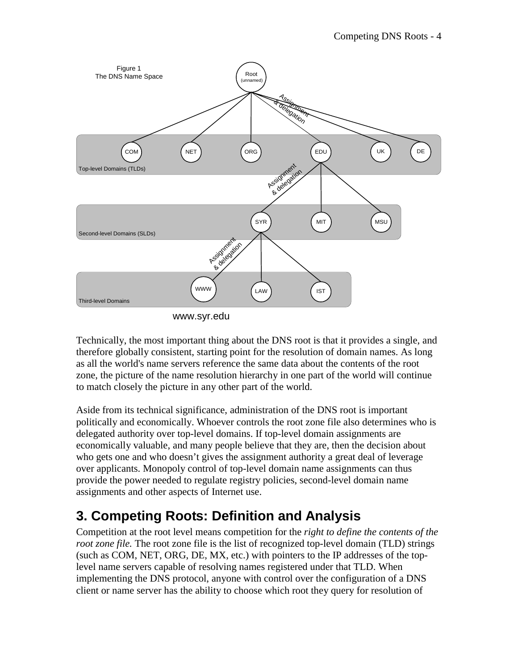

www.syr.edu

Technically, the most important thing about the DNS root is that it provides a single, and therefore globally consistent, starting point for the resolution of domain names. As long as all the world's name servers reference the same data about the contents of the root zone, the picture of the name resolution hierarchy in one part of the world will continue to match closely the picture in any other part of the world.

Aside from its technical significance, administration of the DNS root is important politically and economically. Whoever controls the root zone file also determines who is delegated authority over top-level domains. If top-level domain assignments are economically valuable, and many people believe that they are, then the decision about who gets one and who doesn't gives the assignment authority a great deal of leverage over applicants. Monopoly control of top-level domain name assignments can thus provide the power needed to regulate registry policies, second-level domain name assignments and other aspects of Internet use.

# **3. Competing Roots: Definition and Analysis**

Competition at the root level means competition for the *right to define the contents of the root zone file.* The root zone file is the list of recognized top-level domain (TLD) strings (such as COM, NET, ORG, DE, MX, etc.) with pointers to the IP addresses of the toplevel name servers capable of resolving names registered under that TLD. When implementing the DNS protocol, anyone with control over the configuration of a DNS client or name server has the ability to choose which root they query for resolution of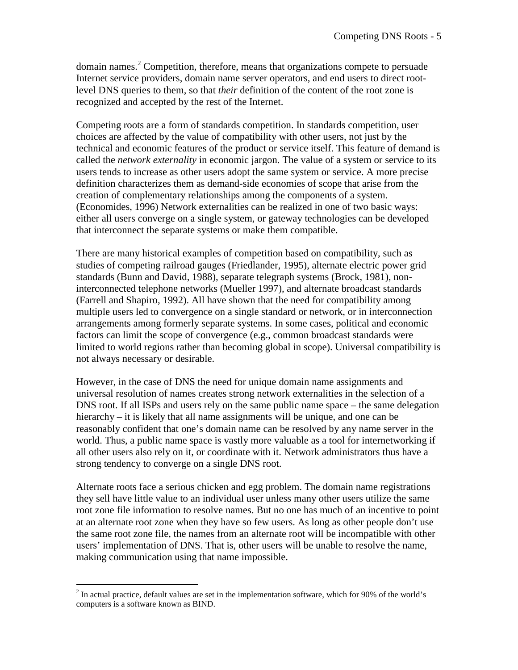domain names. $2$  Competition, therefore, means that organizations compete to persuade Internet service providers, domain name server operators, and end users to direct rootlevel DNS queries to them, so that *their* definition of the content of the root zone is recognized and accepted by the rest of the Internet.

Competing roots are a form of standards competition. In standards competition, user choices are affected by the value of compatibility with other users, not just by the technical and economic features of the product or service itself. This feature of demand is called the *network externality* in economic jargon. The value of a system or service to its users tends to increase as other users adopt the same system or service. A more precise definition characterizes them as demand-side economies of scope that arise from the creation of complementary relationships among the components of a system. (Economides, 1996) Network externalities can be realized in one of two basic ways: either all users converge on a single system, or gateway technologies can be developed that interconnect the separate systems or make them compatible.

There are many historical examples of competition based on compatibility, such as studies of competing railroad gauges (Friedlander, 1995), alternate electric power grid standards (Bunn and David, 1988), separate telegraph systems (Brock, 1981), noninterconnected telephone networks (Mueller 1997), and alternate broadcast standards (Farrell and Shapiro, 1992). All have shown that the need for compatibility among multiple users led to convergence on a single standard or network, or in interconnection arrangements among formerly separate systems. In some cases, political and economic factors can limit the scope of convergence (e.g., common broadcast standards were limited to world regions rather than becoming global in scope). Universal compatibility is not always necessary or desirable.

However, in the case of DNS the need for unique domain name assignments and universal resolution of names creates strong network externalities in the selection of a DNS root. If all ISPs and users rely on the same public name space – the same delegation hierarchy – it is likely that all name assignments will be unique, and one can be reasonably confident that one's domain name can be resolved by any name server in the world. Thus, a public name space is vastly more valuable as a tool for internetworking if all other users also rely on it, or coordinate with it. Network administrators thus have a strong tendency to converge on a single DNS root.

Alternate roots face a serious chicken and egg problem. The domain name registrations they sell have little value to an individual user unless many other users utilize the same root zone file information to resolve names. But no one has much of an incentive to point at an alternate root zone when they have so few users. As long as other people don't use the same root zone file, the names from an alternate root will be incompatible with other users' implementation of DNS. That is, other users will be unable to resolve the name, making communication using that name impossible.

<sup>&</sup>lt;sup>2</sup> In actual practice, default values are set in the implementation software, which for 90% of the world's computers is a software known as BIND.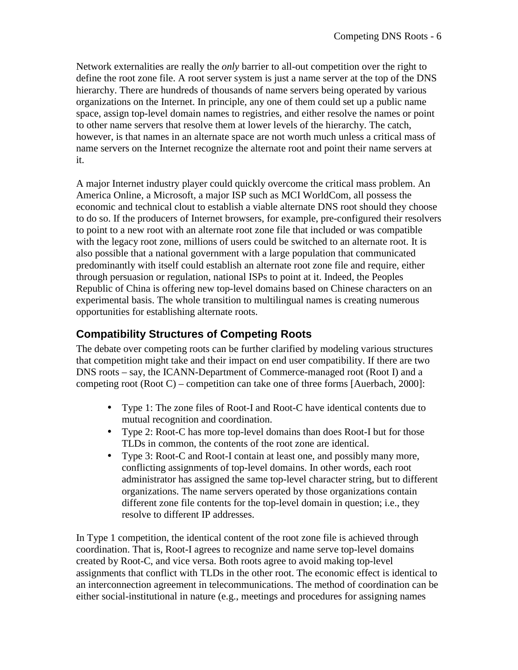Network externalities are really the *only* barrier to all-out competition over the right to define the root zone file. A root server system is just a name server at the top of the DNS hierarchy. There are hundreds of thousands of name servers being operated by various organizations on the Internet. In principle, any one of them could set up a public name space, assign top-level domain names to registries, and either resolve the names or point to other name servers that resolve them at lower levels of the hierarchy. The catch, however, is that names in an alternate space are not worth much unless a critical mass of name servers on the Internet recognize the alternate root and point their name servers at it.

A major Internet industry player could quickly overcome the critical mass problem. An America Online, a Microsoft, a major ISP such as MCI WorldCom, all possess the economic and technical clout to establish a viable alternate DNS root should they choose to do so. If the producers of Internet browsers, for example, pre-configured their resolvers to point to a new root with an alternate root zone file that included or was compatible with the legacy root zone, millions of users could be switched to an alternate root. It is also possible that a national government with a large population that communicated predominantly with itself could establish an alternate root zone file and require, either through persuasion or regulation, national ISPs to point at it. Indeed, the Peoples Republic of China is offering new top-level domains based on Chinese characters on an experimental basis. The whole transition to multilingual names is creating numerous opportunities for establishing alternate roots.

### **Compatibility Structures of Competing Roots**

The debate over competing roots can be further clarified by modeling various structures that competition might take and their impact on end user compatibility. If there are two DNS roots – say, the ICANN-Department of Commerce-managed root (Root I) and a competing root (Root C) – competition can take one of three forms [Auerbach, 2000]:

- Type 1: The zone files of Root-I and Root-C have identical contents due to mutual recognition and coordination.
- Type 2: Root-C has more top-level domains than does Root-I but for those TLDs in common, the contents of the root zone are identical.
- Type 3: Root-C and Root-I contain at least one, and possibly many more, conflicting assignments of top-level domains. In other words, each root administrator has assigned the same top-level character string, but to different organizations. The name servers operated by those organizations contain different zone file contents for the top-level domain in question; i.e., they resolve to different IP addresses.

In Type 1 competition, the identical content of the root zone file is achieved through coordination. That is, Root-I agrees to recognize and name serve top-level domains created by Root-C, and vice versa. Both roots agree to avoid making top-level assignments that conflict with TLDs in the other root. The economic effect is identical to an interconnection agreement in telecommunications. The method of coordination can be either social-institutional in nature (e.g., meetings and procedures for assigning names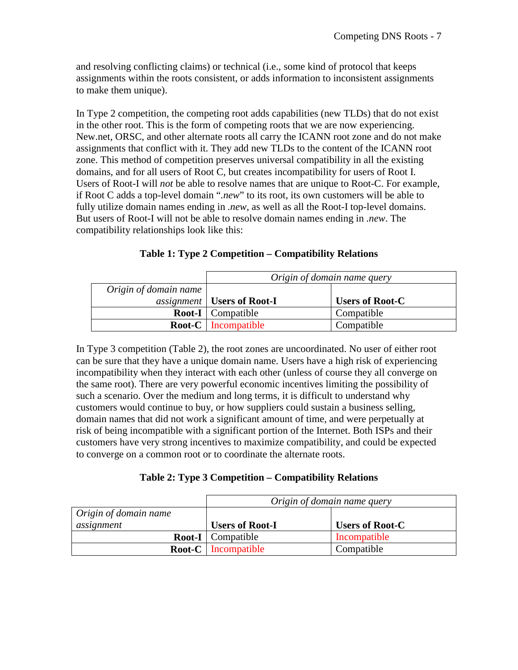and resolving conflicting claims) or technical (i.e., some kind of protocol that keeps assignments within the roots consistent, or adds information to inconsistent assignments to make them unique).

In Type 2 competition, the competing root adds capabilities (new TLDs) that do not exist in the other root. This is the form of competing roots that we are now experiencing. New.net, ORSC, and other alternate roots all carry the ICANN root zone and do not make assignments that conflict with it. They add new TLDs to the content of the ICANN root zone. This method of competition preserves universal compatibility in all the existing domains, and for all users of Root C, but creates incompatibility for users of Root I. Users of Root-I will *not* be able to resolve names that are unique to Root-C. For example, if Root C adds a top-level domain "*.new*" to its root, its own customers will be able to fully utilize domain names ending in *.new*, as well as all the Root-I top-level domains. But users of Root-I will not be able to resolve domain names ending in *.new*. The compatibility relationships look like this:

|  |  | Table 1: Type 2 Competition – Compatibility Relations |  |  |
|--|--|-------------------------------------------------------|--|--|
|--|--|-------------------------------------------------------|--|--|

|                       | Origin of domain name query                |                        |  |
|-----------------------|--------------------------------------------|------------------------|--|
| Origin of domain name |                                            |                        |  |
|                       | <i>assignment</i>   <b>Users of Root-I</b> | <b>Users of Root-C</b> |  |
|                       | <b>Root-I</b> Compatible                   | Compatible             |  |
|                       | <b>Root-C</b> Incompatible                 | Compatible             |  |

In Type 3 competition (Table 2), the root zones are uncoordinated. No user of either root can be sure that they have a unique domain name. Users have a high risk of experiencing incompatibility when they interact with each other (unless of course they all converge on the same root). There are very powerful economic incentives limiting the possibility of such a scenario. Over the medium and long terms, it is difficult to understand why customers would continue to buy, or how suppliers could sustain a business selling, domain names that did not work a significant amount of time, and were perpetually at risk of being incompatible with a significant portion of the Internet. Both ISPs and their customers have very strong incentives to maximize compatibility, and could be expected to converge on a common root or to coordinate the alternate roots.

|                       | Origin of domain name query |                        |  |
|-----------------------|-----------------------------|------------------------|--|
| Origin of domain name |                             |                        |  |
| assignment            | <b>Users of Root-I</b>      | <b>Users of Root-C</b> |  |
|                       | <b>Root-I</b> Compatible    | Incompatible           |  |
|                       | <b>Root-C</b> Incompatible  | Compatible             |  |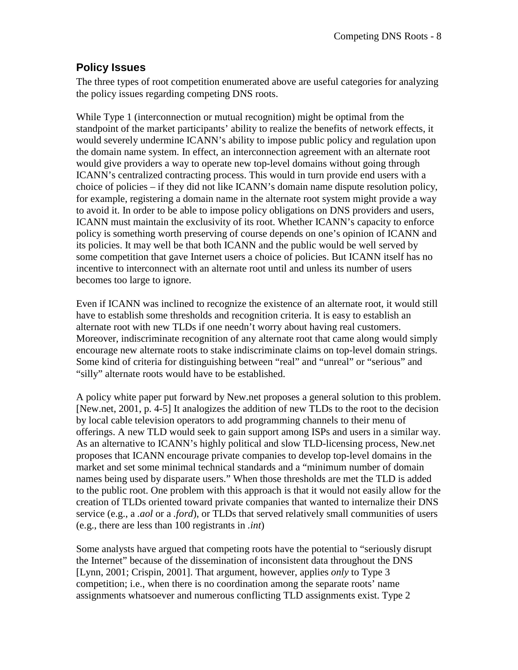#### **Policy Issues**

The three types of root competition enumerated above are useful categories for analyzing the policy issues regarding competing DNS roots.

While Type 1 (interconnection or mutual recognition) might be optimal from the standpoint of the market participants' ability to realize the benefits of network effects, it would severely undermine ICANN's ability to impose public policy and regulation upon the domain name system. In effect, an interconnection agreement with an alternate root would give providers a way to operate new top-level domains without going through ICANN's centralized contracting process. This would in turn provide end users with a choice of policies – if they did not like ICANN's domain name dispute resolution policy, for example, registering a domain name in the alternate root system might provide a way to avoid it. In order to be able to impose policy obligations on DNS providers and users, ICANN must maintain the exclusivity of its root. Whether ICANN's capacity to enforce policy is something worth preserving of course depends on one's opinion of ICANN and its policies. It may well be that both ICANN and the public would be well served by some competition that gave Internet users a choice of policies. But ICANN itself has no incentive to interconnect with an alternate root until and unless its number of users becomes too large to ignore.

Even if ICANN was inclined to recognize the existence of an alternate root, it would still have to establish some thresholds and recognition criteria. It is easy to establish an alternate root with new TLDs if one needn't worry about having real customers. Moreover, indiscriminate recognition of any alternate root that came along would simply encourage new alternate roots to stake indiscriminate claims on top-level domain strings. Some kind of criteria for distinguishing between "real" and "unreal" or "serious" and "silly" alternate roots would have to be established.

A policy white paper put forward by New.net proposes a general solution to this problem. [New.net, 2001, p. 4-5] It analogizes the addition of new TLDs to the root to the decision by local cable television operators to add programming channels to their menu of offerings. A new TLD would seek to gain support among ISPs and users in a similar way. As an alternative to ICANN's highly political and slow TLD-licensing process, New.net proposes that ICANN encourage private companies to develop top-level domains in the market and set some minimal technical standards and a "minimum number of domain names being used by disparate users." When those thresholds are met the TLD is added to the public root. One problem with this approach is that it would not easily allow for the creation of TLDs oriented toward private companies that wanted to internalize their DNS service (e.g., a *.aol* or a *.ford*), or TLDs that served relatively small communities of users (e.g., there are less than 100 registrants in *.int*)

Some analysts have argued that competing roots have the potential to "seriously disrupt the Internet" because of the dissemination of inconsistent data throughout the DNS [Lynn, 2001; Crispin, 2001]. That argument, however, applies *only* to Type 3 competition; i.e., when there is no coordination among the separate roots' name assignments whatsoever and numerous conflicting TLD assignments exist. Type 2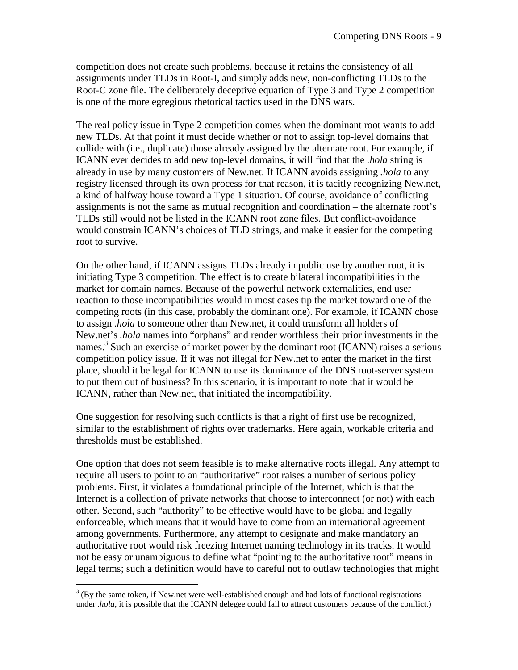competition does not create such problems, because it retains the consistency of all assignments under TLDs in Root-I, and simply adds new, non-conflicting TLDs to the Root-C zone file. The deliberately deceptive equation of Type 3 and Type 2 competition is one of the more egregious rhetorical tactics used in the DNS wars.

The real policy issue in Type 2 competition comes when the dominant root wants to add new TLDs. At that point it must decide whether or not to assign top-level domains that collide with (i.e., duplicate) those already assigned by the alternate root. For example, if ICANN ever decides to add new top-level domains, it will find that the *.hola* string is already in use by many customers of New.net. If ICANN avoids assigning *.hola* to any registry licensed through its own process for that reason, it is tacitly recognizing New.net, a kind of halfway house toward a Type 1 situation. Of course, avoidance of conflicting assignments is not the same as mutual recognition and coordination – the alternate root's TLDs still would not be listed in the ICANN root zone files. But conflict-avoidance would constrain ICANN's choices of TLD strings, and make it easier for the competing root to survive.

On the other hand, if ICANN assigns TLDs already in public use by another root, it is initiating Type 3 competition. The effect is to create bilateral incompatibilities in the market for domain names. Because of the powerful network externalities, end user reaction to those incompatibilities would in most cases tip the market toward one of the competing roots (in this case, probably the dominant one). For example, if ICANN chose to assign *.hola* to someone other than New.net, it could transform all holders of New.net's *.hola* names into "orphans" and render worthless their prior investments in the names.<sup>3</sup> Such an exercise of market power by the dominant root  $(ICANN)$  raises a serious competition policy issue. If it was not illegal for New.net to enter the market in the first place, should it be legal for ICANN to use its dominance of the DNS root-server system to put them out of business? In this scenario, it is important to note that it would be ICANN, rather than New.net, that initiated the incompatibility.

One suggestion for resolving such conflicts is that a right of first use be recognized, similar to the establishment of rights over trademarks. Here again, workable criteria and thresholds must be established.

One option that does not seem feasible is to make alternative roots illegal. Any attempt to require all users to point to an "authoritative" root raises a number of serious policy problems. First, it violates a foundational principle of the Internet, which is that the Internet is a collection of private networks that choose to interconnect (or not) with each other. Second, such "authority" to be effective would have to be global and legally enforceable, which means that it would have to come from an international agreement among governments. Furthermore, any attempt to designate and make mandatory an authoritative root would risk freezing Internet naming technology in its tracks. It would not be easy or unambiguous to define what "pointing to the authoritative root" means in legal terms; such a definition would have to careful not to outlaw technologies that might

 $3$  (By the same token, if New.net were well-established enough and had lots of functional registrations under *.hola*, it is possible that the ICANN delegee could fail to attract customers because of the conflict.)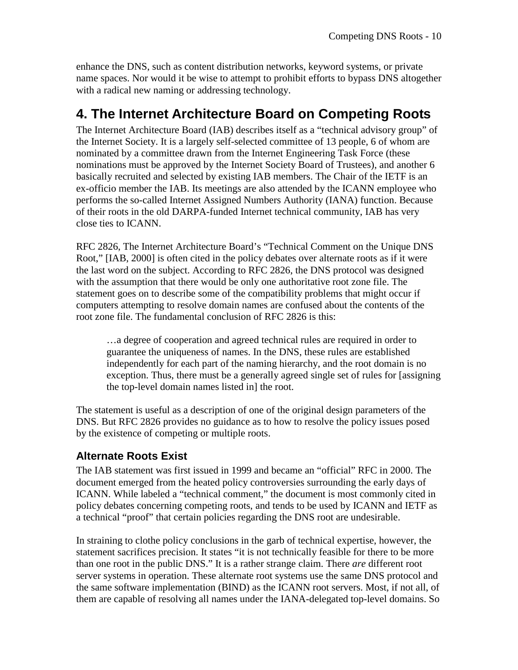enhance the DNS, such as content distribution networks, keyword systems, or private name spaces. Nor would it be wise to attempt to prohibit efforts to bypass DNS altogether with a radical new naming or addressing technology.

## **4. The Internet Architecture Board on Competing Roots**

The Internet Architecture Board (IAB) describes itself as a "technical advisory group" of the Internet Society. It is a largely self-selected committee of 13 people, 6 of whom are nominated by a committee drawn from the Internet Engineering Task Force (these nominations must be approved by the Internet Society Board of Trustees), and another 6 basically recruited and selected by existing IAB members. The Chair of the IETF is an ex-officio member the IAB. Its meetings are also attended by the ICANN employee who performs the so-called Internet Assigned Numbers Authority (IANA) function. Because of their roots in the old DARPA-funded Internet technical community, IAB has very close ties to ICANN.

RFC 2826, The Internet Architecture Board's "Technical Comment on the Unique DNS Root," [IAB, 2000] is often cited in the policy debates over alternate roots as if it were the last word on the subject. According to RFC 2826, the DNS protocol was designed with the assumption that there would be only one authoritative root zone file. The statement goes on to describe some of the compatibility problems that might occur if computers attempting to resolve domain names are confused about the contents of the root zone file. The fundamental conclusion of RFC 2826 is this:

…a degree of cooperation and agreed technical rules are required in order to guarantee the uniqueness of names. In the DNS, these rules are established independently for each part of the naming hierarchy, and the root domain is no exception. Thus, there must be a generally agreed single set of rules for [assigning the top-level domain names listed in] the root.

The statement is useful as a description of one of the original design parameters of the DNS. But RFC 2826 provides no guidance as to how to resolve the policy issues posed by the existence of competing or multiple roots.

#### **Alternate Roots Exist**

The IAB statement was first issued in 1999 and became an "official" RFC in 2000. The document emerged from the heated policy controversies surrounding the early days of ICANN. While labeled a "technical comment," the document is most commonly cited in policy debates concerning competing roots, and tends to be used by ICANN and IETF as a technical "proof" that certain policies regarding the DNS root are undesirable.

In straining to clothe policy conclusions in the garb of technical expertise, however, the statement sacrifices precision. It states "it is not technically feasible for there to be more than one root in the public DNS." It is a rather strange claim. There *are* different root server systems in operation. These alternate root systems use the same DNS protocol and the same software implementation (BIND) as the ICANN root servers. Most, if not all, of them are capable of resolving all names under the IANA-delegated top-level domains. So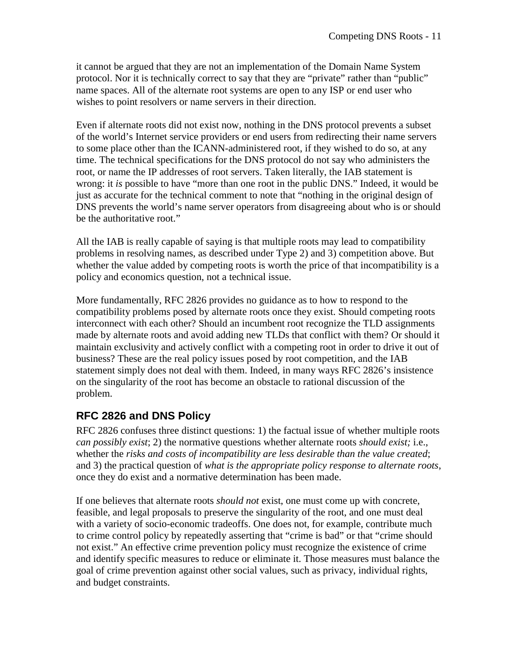it cannot be argued that they are not an implementation of the Domain Name System protocol. Nor it is technically correct to say that they are "private" rather than "public" name spaces. All of the alternate root systems are open to any ISP or end user who wishes to point resolvers or name servers in their direction.

Even if alternate roots did not exist now, nothing in the DNS protocol prevents a subset of the world's Internet service providers or end users from redirecting their name servers to some place other than the ICANN-administered root, if they wished to do so, at any time. The technical specifications for the DNS protocol do not say who administers the root, or name the IP addresses of root servers. Taken literally, the IAB statement is wrong: it *is* possible to have "more than one root in the public DNS." Indeed, it would be just as accurate for the technical comment to note that "nothing in the original design of DNS prevents the world's name server operators from disagreeing about who is or should be the authoritative root."

All the IAB is really capable of saying is that multiple roots may lead to compatibility problems in resolving names, as described under Type 2) and 3) competition above. But whether the value added by competing roots is worth the price of that incompatibility is a policy and economics question, not a technical issue.

More fundamentally, RFC 2826 provides no guidance as to how to respond to the compatibility problems posed by alternate roots once they exist. Should competing roots interconnect with each other? Should an incumbent root recognize the TLD assignments made by alternate roots and avoid adding new TLDs that conflict with them? Or should it maintain exclusivity and actively conflict with a competing root in order to drive it out of business? These are the real policy issues posed by root competition, and the IAB statement simply does not deal with them. Indeed, in many ways RFC 2826's insistence on the singularity of the root has become an obstacle to rational discussion of the problem.

#### **RFC 2826 and DNS Policy**

RFC 2826 confuses three distinct questions: 1) the factual issue of whether multiple roots *can possibly exist*; 2) the normative questions whether alternate roots *should exist;* i.e., whether the *risks and costs of incompatibility are less desirable than the value created*; and 3) the practical question of *what is the appropriate policy response to alternate roots*, once they do exist and a normative determination has been made.

If one believes that alternate roots *should not* exist, one must come up with concrete, feasible, and legal proposals to preserve the singularity of the root, and one must deal with a variety of socio-economic tradeoffs. One does not, for example, contribute much to crime control policy by repeatedly asserting that "crime is bad" or that "crime should not exist." An effective crime prevention policy must recognize the existence of crime and identify specific measures to reduce or eliminate it. Those measures must balance the goal of crime prevention against other social values, such as privacy, individual rights, and budget constraints.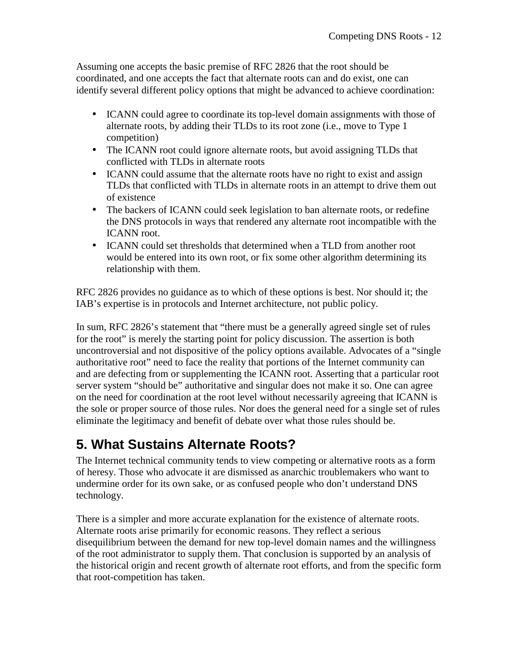Assuming one accepts the basic premise of RFC 2826 that the root should be coordinated, and one accepts the fact that alternate roots can and do exist, one can identify several different policy options that might be advanced to achieve coordination:

- ICANN could agree to coordinate its top-level domain assignments with those of alternate roots, by adding their TLDs to its root zone (i.e., move to Type 1 competition)
- The ICANN root could ignore alternate roots, but avoid assigning TLDs that conflicted with TLDs in alternate roots
- ICANN could assume that the alternate roots have no right to exist and assign TLDs that conflicted with TLDs in alternate roots in an attempt to drive them out of existence
- The backers of ICANN could seek legislation to ban alternate roots, or redefine the DNS protocols in ways that rendered any alternate root incompatible with the ICANN root.
- ICANN could set thresholds that determined when a TLD from another root would be entered into its own root, or fix some other algorithm determining its relationship with them.

RFC 2826 provides no guidance as to which of these options is best. Nor should it; the IAB's expertise is in protocols and Internet architecture, not public policy.

In sum, RFC 2826's statement that "there must be a generally agreed single set of rules for the root" is merely the starting point for policy discussion. The assertion is both uncontroversial and not dispositive of the policy options available. Advocates of a "single authoritative root" need to face the reality that portions of the Internet community can and are defecting from or supplementing the ICANN root. Asserting that a particular root server system "should be" authoritative and singular does not make it so. One can agree on the need for coordination at the root level without necessarily agreeing that ICANN is the sole or proper source of those rules. Nor does the general need for a single set of rules eliminate the legitimacy and benefit of debate over what those rules should be.

# **5. What Sustains Alternate Roots?**

The Internet technical community tends to view competing or alternative roots as a form of heresy. Those who advocate it are dismissed as anarchic troublemakers who want to undermine order for its own sake, or as confused people who don't understand DNS technology.

There is a simpler and more accurate explanation for the existence of alternate roots. Alternate roots arise primarily for economic reasons. They reflect a serious disequilibrium between the demand for new top-level domain names and the willingness of the root administrator to supply them. That conclusion is supported by an analysis of the historical origin and recent growth of alternate root efforts, and from the specific form that root-competition has taken.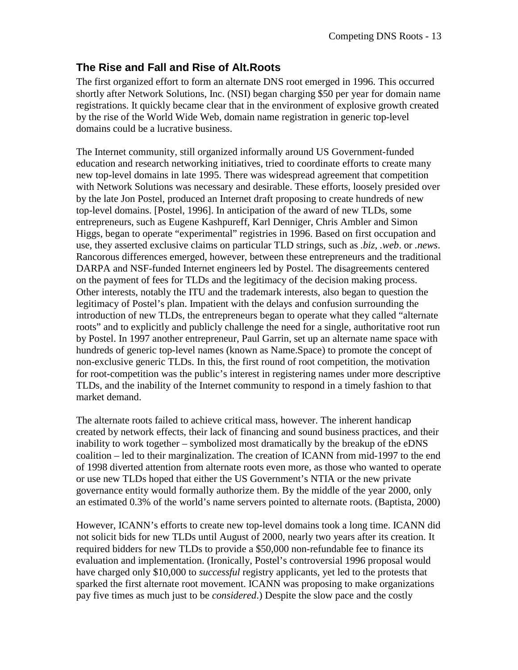#### **The Rise and Fall and Rise of Alt.Roots**

The first organized effort to form an alternate DNS root emerged in 1996. This occurred shortly after Network Solutions, Inc. (NSI) began charging \$50 per year for domain name registrations. It quickly became clear that in the environment of explosive growth created by the rise of the World Wide Web, domain name registration in generic top-level domains could be a lucrative business.

The Internet community, still organized informally around US Government-funded education and research networking initiatives, tried to coordinate efforts to create many new top-level domains in late 1995. There was widespread agreement that competition with Network Solutions was necessary and desirable. These efforts, loosely presided over by the late Jon Postel, produced an Internet draft proposing to create hundreds of new top-level domains. [Postel, 1996]. In anticipation of the award of new TLDs, some entrepreneurs, such as Eugene Kashpureff, Karl Denniger, Chris Ambler and Simon Higgs, began to operate "experimental" registries in 1996. Based on first occupation and use, they asserted exclusive claims on particular TLD strings, such as *.biz*, *.web*. or *.news*. Rancorous differences emerged, however, between these entrepreneurs and the traditional DARPA and NSF-funded Internet engineers led by Postel. The disagreements centered on the payment of fees for TLDs and the legitimacy of the decision making process. Other interests, notably the ITU and the trademark interests, also began to question the legitimacy of Postel's plan. Impatient with the delays and confusion surrounding the introduction of new TLDs, the entrepreneurs began to operate what they called "alternate roots" and to explicitly and publicly challenge the need for a single, authoritative root run by Postel. In 1997 another entrepreneur, Paul Garrin, set up an alternate name space with hundreds of generic top-level names (known as Name.Space) to promote the concept of non-exclusive generic TLDs. In this, the first round of root competition, the motivation for root-competition was the public's interest in registering names under more descriptive TLDs, and the inability of the Internet community to respond in a timely fashion to that market demand.

The alternate roots failed to achieve critical mass, however. The inherent handicap created by network effects, their lack of financing and sound business practices, and their inability to work together – symbolized most dramatically by the breakup of the eDNS coalition – led to their marginalization. The creation of ICANN from mid-1997 to the end of 1998 diverted attention from alternate roots even more, as those who wanted to operate or use new TLDs hoped that either the US Government's NTIA or the new private governance entity would formally authorize them. By the middle of the year 2000, only an estimated 0.3% of the world's name servers pointed to alternate roots. (Baptista, 2000)

However, ICANN's efforts to create new top-level domains took a long time. ICANN did not solicit bids for new TLDs until August of 2000, nearly two years after its creation. It required bidders for new TLDs to provide a \$50,000 non-refundable fee to finance its evaluation and implementation. (Ironically, Postel's controversial 1996 proposal would have charged only \$10,000 to *successful* registry applicants, yet led to the protests that sparked the first alternate root movement. ICANN was proposing to make organizations pay five times as much just to be *considered*.) Despite the slow pace and the costly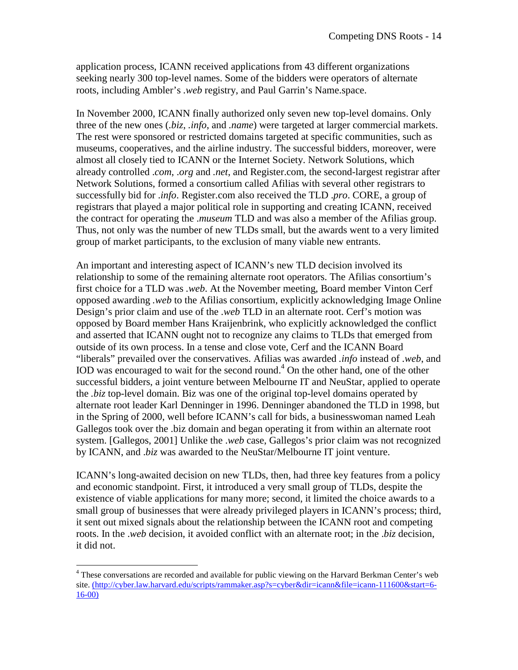application process, ICANN received applications from 43 different organizations seeking nearly 300 top-level names. Some of the bidders were operators of alternate roots, including Ambler's *.web* registry, and Paul Garrin's Name.space.

In November 2000, ICANN finally authorized only seven new top-level domains. Only three of the new ones (*.biz*, *.info*, and *.name*) were targeted at larger commercial markets. The rest were sponsored or restricted domains targeted at specific communities, such as museums, cooperatives, and the airline industry. The successful bidders, moreover, were almost all closely tied to ICANN or the Internet Society. Network Solutions, which already controlled .*com*, .*org* and *.net*, and Register.com, the second-largest registrar after Network Solutions, formed a consortium called Afilias with several other registrars to successfully bid for .*info*. Register.com also received the TLD .*pro*. CORE, a group of registrars that played a major political role in supporting and creating ICANN, received the contract for operating the .*museum* TLD and was also a member of the Afilias group. Thus, not only was the number of new TLDs small, but the awards went to a very limited group of market participants, to the exclusion of many viable new entrants.

An important and interesting aspect of ICANN's new TLD decision involved its relationship to some of the remaining alternate root operators. The Afilias consortium's first choice for a TLD was *.web*. At the November meeting, Board member Vinton Cerf opposed awarding *.web* to the Afilias consortium, explicitly acknowledging Image Online Design's prior claim and use of the *.web* TLD in an alternate root. Cerf's motion was opposed by Board member Hans Kraijenbrink, who explicitly acknowledged the conflict and asserted that ICANN ought not to recognize any claims to TLDs that emerged from outside of its own process. In a tense and close vote, Cerf and the ICANN Board "liberals" prevailed over the conservatives. Afilias was awarded *.info* instead of *.web*, and IOD was encouraged to wait for the second round. $4$  On the other hand, one of the other successful bidders, a joint venture between Melbourne IT and NeuStar, applied to operate the *.biz* top-level domain. Biz was one of the original top-level domains operated by alternate root leader Karl Denninger in 1996. Denninger abandoned the TLD in 1998, but in the Spring of 2000, well before ICANN's call for bids, a businesswoman named Leah Gallegos took over the .biz domain and began operating it from within an alternate root system. [Gallegos, 2001] Unlike the .*web* case, Gallegos's prior claim was not recognized by ICANN, and .*biz* was awarded to the NeuStar/Melbourne IT joint venture.

ICANN's long-awaited decision on new TLDs, then, had three key features from a policy and economic standpoint. First, it introduced a very small group of TLDs, despite the existence of viable applications for many more; second, it limited the choice awards to a small group of businesses that were already privileged players in ICANN's process; third, it sent out mixed signals about the relationship between the ICANN root and competing roots. In the .*web* decision, it avoided conflict with an alternate root; in the .*biz* decision, it did not.

<sup>&</sup>lt;sup>4</sup> These conversations are recorded and available for public viewing on the Harvard Berkman Center's web site. (http://cyber.law.harvard.edu/scripts/rammaker.asp?s=cyber&dir=icann&file=icann-111600&start=6- 16-00)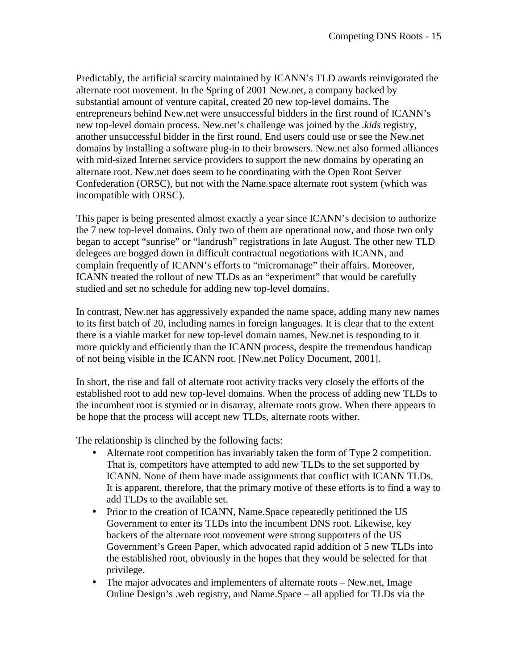Predictably, the artificial scarcity maintained by ICANN's TLD awards reinvigorated the alternate root movement. In the Spring of 2001 New.net, a company backed by substantial amount of venture capital, created 20 new top-level domains. The entrepreneurs behind New.net were unsuccessful bidders in the first round of ICANN's new top-level domain process. New.net's challenge was joined by the *.kids* registry, another unsuccessful bidder in the first round. End users could use or see the New.net domains by installing a software plug-in to their browsers. New.net also formed alliances with mid-sized Internet service providers to support the new domains by operating an alternate root. New.net does seem to be coordinating with the Open Root Server Confederation (ORSC), but not with the Name.space alternate root system (which was incompatible with ORSC).

This paper is being presented almost exactly a year since ICANN's decision to authorize the 7 new top-level domains. Only two of them are operational now, and those two only began to accept "sunrise" or "landrush" registrations in late August. The other new TLD delegees are bogged down in difficult contractual negotiations with ICANN, and complain frequently of ICANN's efforts to "micromanage" their affairs. Moreover, ICANN treated the rollout of new TLDs as an "experiment" that would be carefully studied and set no schedule for adding new top-level domains.

In contrast, New.net has aggressively expanded the name space, adding many new names to its first batch of 20, including names in foreign languages. It is clear that to the extent there is a viable market for new top-level domain names, New.net is responding to it more quickly and efficiently than the ICANN process, despite the tremendous handicap of not being visible in the ICANN root. [New.net Policy Document, 2001].

In short, the rise and fall of alternate root activity tracks very closely the efforts of the established root to add new top-level domains. When the process of adding new TLDs to the incumbent root is stymied or in disarray, alternate roots grow. When there appears to be hope that the process will accept new TLDs, alternate roots wither.

The relationship is clinched by the following facts:

- Alternate root competition has invariably taken the form of Type 2 competition. That is, competitors have attempted to add new TLDs to the set supported by ICANN. None of them have made assignments that conflict with ICANN TLDs. It is apparent, therefore, that the primary motive of these efforts is to find a way to add TLDs to the available set.
- Prior to the creation of ICANN, Name. Space repeatedly petitioned the US Government to enter its TLDs into the incumbent DNS root. Likewise, key backers of the alternate root movement were strong supporters of the US Government's Green Paper, which advocated rapid addition of 5 new TLDs into the established root, obviously in the hopes that they would be selected for that privilege.
- The major advocates and implementers of alternate roots New.net, Image Online Design's .web registry, and Name.Space – all applied for TLDs via the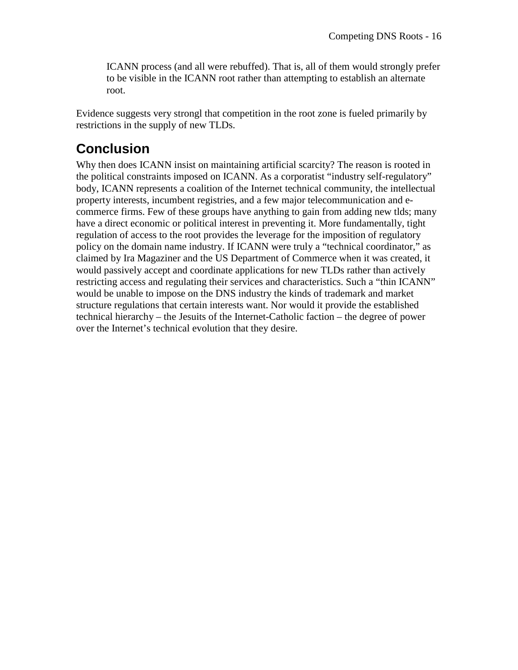ICANN process (and all were rebuffed). That is, all of them would strongly prefer to be visible in the ICANN root rather than attempting to establish an alternate root.

Evidence suggests very strongl that competition in the root zone is fueled primarily by restrictions in the supply of new TLDs.

## **Conclusion**

Why then does ICANN insist on maintaining artificial scarcity? The reason is rooted in the political constraints imposed on ICANN. As a corporatist "industry self-regulatory" body, ICANN represents a coalition of the Internet technical community, the intellectual property interests, incumbent registries, and a few major telecommunication and ecommerce firms. Few of these groups have anything to gain from adding new tlds; many have a direct economic or political interest in preventing it. More fundamentally, tight regulation of access to the root provides the leverage for the imposition of regulatory policy on the domain name industry. If ICANN were truly a "technical coordinator," as claimed by Ira Magaziner and the US Department of Commerce when it was created, it would passively accept and coordinate applications for new TLDs rather than actively restricting access and regulating their services and characteristics. Such a "thin ICANN" would be unable to impose on the DNS industry the kinds of trademark and market structure regulations that certain interests want. Nor would it provide the established technical hierarchy – the Jesuits of the Internet-Catholic faction – the degree of power over the Internet's technical evolution that they desire.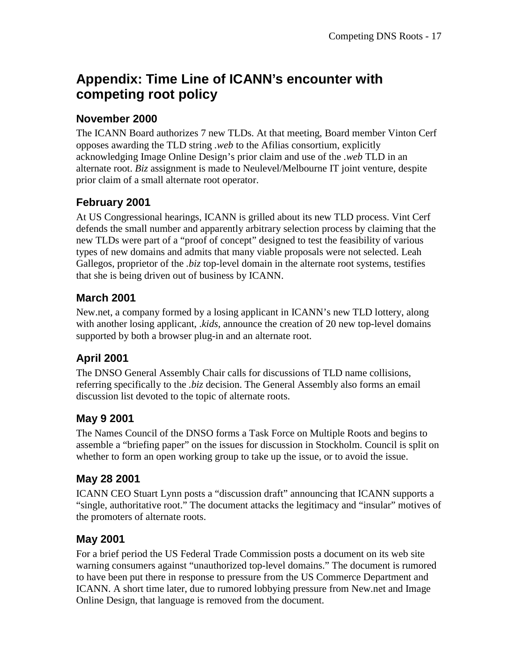## **Appendix: Time Line of ICANN's encounter with competing root policy**

#### **November 2000**

The ICANN Board authorizes 7 new TLDs. At that meeting, Board member Vinton Cerf opposes awarding the TLD string *.web* to the Afilias consortium, explicitly acknowledging Image Online Design's prior claim and use of the *.web* TLD in an alternate root. *Biz* assignment is made to Neulevel/Melbourne IT joint venture, despite prior claim of a small alternate root operator.

#### **February 2001**

At US Congressional hearings, ICANN is grilled about its new TLD process. Vint Cerf defends the small number and apparently arbitrary selection process by claiming that the new TLDs were part of a "proof of concept" designed to test the feasibility of various types of new domains and admits that many viable proposals were not selected. Leah Gallegos, proprietor of the *.biz* top-level domain in the alternate root systems, testifies that she is being driven out of business by ICANN.

#### **March 2001**

New.net, a company formed by a losing applicant in ICANN's new TLD lottery, along with another losing applicant, .*kids*, announce the creation of 20 new top-level domains supported by both a browser plug-in and an alternate root.

### **April 2001**

The DNSO General Assembly Chair calls for discussions of TLD name collisions, referring specifically to the *.biz* decision. The General Assembly also forms an email discussion list devoted to the topic of alternate roots.

#### **May 9 2001**

The Names Council of the DNSO forms a Task Force on Multiple Roots and begins to assemble a "briefing paper" on the issues for discussion in Stockholm. Council is split on whether to form an open working group to take up the issue, or to avoid the issue.

#### **May 28 2001**

ICANN CEO Stuart Lynn posts a "discussion draft" announcing that ICANN supports a "single, authoritative root." The document attacks the legitimacy and "insular" motives of the promoters of alternate roots.

#### **May 2001**

For a brief period the US Federal Trade Commission posts a document on its web site warning consumers against "unauthorized top-level domains." The document is rumored to have been put there in response to pressure from the US Commerce Department and ICANN. A short time later, due to rumored lobbying pressure from New.net and Image Online Design, that language is removed from the document.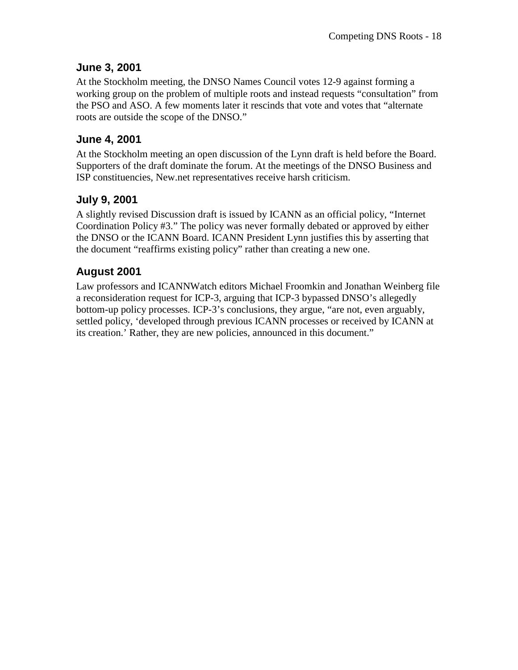#### **June 3, 2001**

At the Stockholm meeting, the DNSO Names Council votes 12-9 against forming a working group on the problem of multiple roots and instead requests "consultation" from the PSO and ASO. A few moments later it rescinds that vote and votes that "alternate roots are outside the scope of the DNSO."

#### **June 4, 2001**

At the Stockholm meeting an open discussion of the Lynn draft is held before the Board. Supporters of the draft dominate the forum. At the meetings of the DNSO Business and ISP constituencies, New.net representatives receive harsh criticism.

#### **July 9, 2001**

A slightly revised Discussion draft is issued by ICANN as an official policy, "Internet Coordination Policy #3." The policy was never formally debated or approved by either the DNSO or the ICANN Board. ICANN President Lynn justifies this by asserting that the document "reaffirms existing policy" rather than creating a new one.

#### **August 2001**

Law professors and ICANNWatch editors Michael Froomkin and Jonathan Weinberg file a reconsideration request for ICP-3, arguing that ICP-3 bypassed DNSO's allegedly bottom-up policy processes. ICP-3's conclusions, they argue, "are not, even arguably, settled policy, 'developed through previous ICANN processes or received by ICANN at its creation.' Rather, they are new policies, announced in this document."